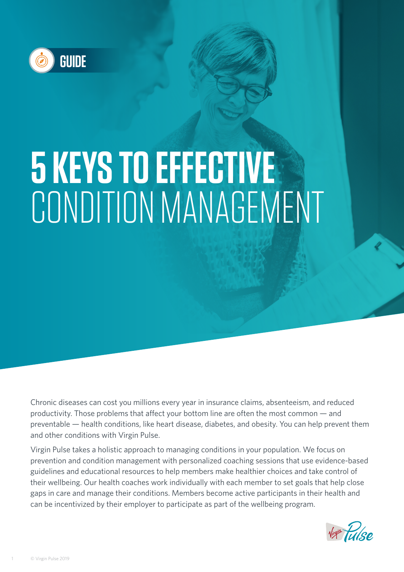

# **5 KEYS TO EFFECTIVE** CONDITION MANAGEMENT

Chronic diseases can cost you millions every year in insurance claims, absenteeism, and reduced productivity. Those problems that affect your bottom line are often the most common — and preventable — health conditions, like heart disease, diabetes, and obesity. You can help prevent them and other conditions with Virgin Pulse.

Virgin Pulse takes a holistic approach to managing conditions in your population. We focus on prevention and condition management with personalized coaching sessions that use evidence-based guidelines and educational resources to help members make healthier choices and take control of their wellbeing. Our health coaches work individually with each member to set goals that help close gaps in care and manage their conditions. Members become active participants in their health and can be incentivized by their employer to participate as part of the wellbeing program.

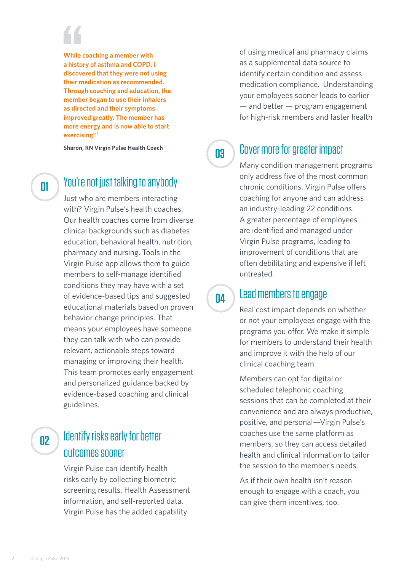**While coaching a member with a history of asthma and COPD, I discovered that they were not using their medication as recommended. Through coaching and education, the member began to use their inhalers as directed and their symptoms improved greatly. The member has more energy and is now able to start exercising!"**

**Sharon, RN Virgin Pulse Health Coach**

**01**

### You're not just talking to anybody

Just who are members interacting with? Virgin Pulse's health coaches. Our health coaches come from diverse clinical backgrounds such as diabetes education, behavioral health, nutrition, pharmacy and nursing. Tools in the Virgin Pulse app allows them to guide members to self-manage identified conditions they may have with a set of evidence-based tips and suggested educational materials based on proven behavior change principles. That means your employees have someone they can talk with who can provide relevant, actionable steps toward managing or improving their health. This team promotes early engagement and personalized guidance backed by evidence-based coaching and clinical guidelines.

## **02**

### Identify risks early for better outcomes sooner

Virgin Pulse can identify health risks early by collecting biometric screening results, Health Assessment information, and self-reported data. Virgin Pulse has the added capability

of using medical and pharmacy claims as a supplemental data source to identify certain condition and assess medication compliance. Understanding your employees sooner leads to earlier — and better — program engagement for high-risk members and faster health

**03**

### Cover more for greater impact

Many condition management programs only address five of the most common chronic conditions. Virgin Pulse offers coaching for anyone and can address an industry-leading 22 conditions. A greater percentage of employees are identified and managed under Virgin Pulse programs, leading to improvement of conditions that are often debilitating and expensive if left untreated.

**04**

### Lead members to engage

Real cost impact depends on whether or not your employees engage with the programs you offer. We make it simple for members to understand their health and improve it with the help of our clinical coaching team.

Members can opt for digital or scheduled telephonic coaching sessions that can be completed at their convenience and are always productive, positive, and personal—Virgin Pulse's coaches use the same platform as members, so they can access detailed health and clinical information to tailor the session to the member's needs.

As if their own health isn't reason enough to engage with a coach, you can give them incentives, too.